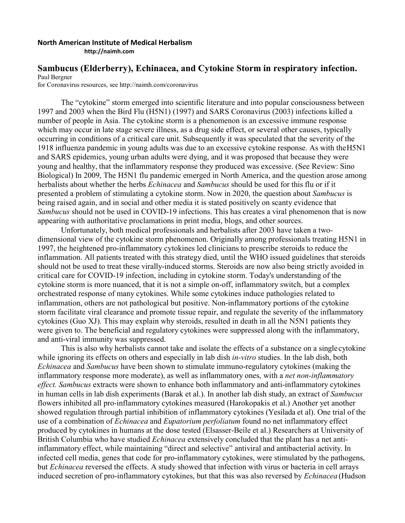## **North American Institute of Medical Herbalism**

**[http://naimh.com](http://naimh.com/)**

## **Sambucus (Elderberry), Echinacea, and Cytokine Storm in respiratory infection.**

Paul Bergner

for Coronavirus resources, see<http://naimh.com/coronavirus>

The "cytokine" storm emerged into scientific literature and into popular consciousness between 1997 and 2003 when the Bird Flu (H5N1) (1997) and SARS Coronavirus (2003) infections killed a number of people in Asia. The cytokine storm is a phenomenon is an excessive immune response which may occur in late stage severe illness, as a drug side effect, or several other causes, typically occurring in conditions of a critical care unit. Subsequently it was speculated that the severity of the 1918 influenza pandemic in young adults was due to an excessive cytokine response. As with theH5N1 and SARS epidemics, young urban adults were dying, and it was proposed that because they were young and healthy, that the inflammatory response they produced was excessive. (See Review: Sino Biological) In 2009, The H5N1 flu pandemic emerged in North America, and the question arose among herbalists about whether the herbs *Echinacea* and *Sambucus* should be used for this flu or if it presented a problem of stimulating a cytokine storm. Now in 2020, the question about *Sambucus* is being raised again, and in social and other media it is stated positively on scanty evidence that *Sambucus* should not be used in COVID-19 infections. This has creates a viral phenomenon that is now appearing with authoritative proclamations in print media, blogs, and other sources.

Unfortunately, both medical professionals and herbalists after 2003 have taken a twodimensional view of the cytokine storm phenomenon. Originally among professionals treating H5N1 in 1997, the heightened pro-inflammatory cytokines led clinicians to prescribe steroids to reduce the inflammation. All patients treated with this strategy died, until the WHO issued guidelines that steroids should not be used to treat these virally-induced storms. Steroids are now also being strictly avoided in critical care for COVID-19 infection, including in cytokine storm. Today's understanding of the cytokine storm is more nuanced, that it is not a simple on-off, inflammatory switch, but a complex orchestrated response of many cytokines. While some cytokines induce pathologies related to inflammation, others are not pathological but positive. Non-inflammatory portions of the cytokine storm facilitate viral clearance and promote tissue repair, and regulate the severity of the inflammatory cytokines (Guo XJ). This may explain why steroids, resulted in death in all the N5N1 patients they were given to. The beneficial and regulatory cytokines were suppressed along with the inflammatory, and anti-viral immunity was suppressed.

This is also why herbalists cannot take and isolate the effects of a substance on a singlecytokine while ignoring its effects on others and especially in lab dish *in-vitro* studies. In the lab dish, both *Echinacea* and *Sambucus* have been shown to stimulate immuno-regulatory cytokines (making the inflammatory response more moderate), as well as inflammatory ones, with a *net non-inflammatory effect. Sambucus* extracts were shown to enhance both inflammatory and anti-inflammatory cytokines in human cells in lab dish experiments (Barak et al.). In another lab dish study, an extract of *Sambucus*  flowers inhibited all pro-inflammatory cytokines measured (Harokopakis et al.) Another yet another showed regulation through partial inhibition of inflammatory cytokines (Yesilada et al). One trial of the use of a combination of *Echinacea* and *Eupatorium perfoliatum* found no net inflammatory effect produced by cytokines in humans at the dose tested (Elsasser-Beile et al.) Researchers at University of British Columbia who have studied *Echinacea* extensively concluded that the plant has a net antiinflammatory effect, while maintaining "direct and selective" antiviral and antibacterial activity. In infected cell media, genes that code for pro-inflammatory cytokines, were stimulated by the pathogens, but *Echinacea* reversed the effects. A study showed that infection with virus or bacteria in cell arrays induced secretion of pro-inflammatory cytokines, but that this was also reversed by *Echinacea* (Hudson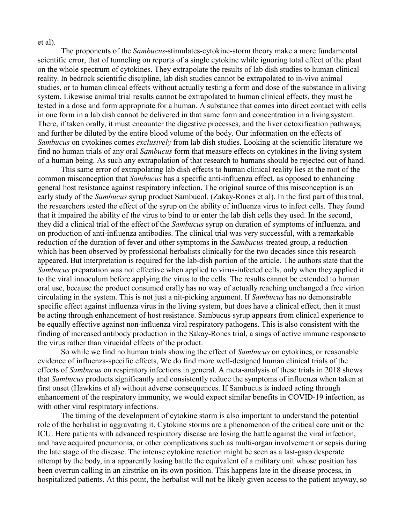et al).

The proponents of the *Sambucus*-stimulates-cytokine-storm theory make a more fundamental scientific error, that of tunneling on reports of a single cytokine while ignoring total effect of the plant on the whole spectrum of cytokines. They extrapolate the results of lab dish studies to human clinical reality. In bedrock scientific discipline, lab dish studies cannot be extrapolated to in-vivo animal studies, or to human clinical effects without actually testing a form and dose of the substance in aliving system. Likewise animal trial results cannot be extrapolated to human clinical effects, they must be tested in a dose and form appropriate for a human. A substance that comes into direct contact with cells in one form in a lab dish cannot be delivered in that same form and concentration in a living system. There, if taken orally, it must encounter the digestive processes, and the liver detoxification pathways, and further be diluted by the entire blood volume of the body. Our information on the effects of *Sambucus* on cytokines comes *exclusively* from lab dish studies. Looking at the scientific literature we find no human trials of any oral *Sambucus* form that measure effects on cytokines in the living system of a human being. As such any extrapolation of that research to humans should be rejected out of hand.

This same error of extrapolating lab dish effects to human clinical reality lies at the root of the common misconception that *Sambucus* has a specific anti-influenza effect, as opposed to enhancing general host resistance against respiratory infection. The original source of this misconception is an early study of the *Sambucus* syrup product Sambucol. (Zakay-Rones et al). In the first part of this trial, the researchers tested the effect of the syrup on the ability of influenza virus to infect cells. They found that it impaired the ability of the virus to bind to or enter the lab dish cells they used. In the second, they did a clinical trial of the effect of the *Sambucus* syrup on duration of symptoms of influenza, and on production of anti-influenza antibodies. The clinical trial was very successful, with a remarkable reduction of the duration of fever and other symptoms in the *Sambucus-*treated group, a reduction which has been observed by professional herbalists clinically for the two decades since this research appeared. But interpretation is required for the lab-dish portion of the article. The authors state that the *Sambucus* preparation was not effective when applied to virus-infected cells, only when they applied it to the viral innoculum before applying the virus to the cells. The results cannot be extended to human oral use, because the product consumed orally has no way of actually reaching unchanged a free virion circulating in the system. This is not just a nit-picking argument. If *Sambucus* has no demonstrable specific effect against influenza virus in the living system, but does have a clinical effect, then it must be acting through enhancement of host resistance. Sambucus syrup appears from clinical experience to be equally effective against non-influenza viral respiratory pathogens. This is also consistent with the finding of increased antibody production in the Sakay-Rones trial, a sings of active immune response to the virus rather than virucidal effects of the product.

So while we find no human trials showing the effect of *Sambucus* on cytokines, or reasonable evidence of influenza-specific effects, We do find more well-designed human clinical trials of the effects of *Sambucus* on respiratory infections in general. A meta-analysis of these trials in 2018 shows that *Sambucus* products significantly and consistently reduce the symptoms of influenza when taken at first onset (Hawkins et al) without adverse consequences. If Sambucus is indeed acting through enhancement of the respiratory immunity, we would expect similar benefits in COVID-19 infection, as with other viral respiratory infections.

The timing of the development of cytokine storm is also important to understand the potential role of the herbalist in aggravating it. Cytokine storms are a phenomenon of the critical care unit or the ICU. Here patients with advanced respiratory disease are losing the battle against the viral infection, and have acquired pneumonia, or other complications such as multi-organ involvement or sepsis during the late stage of the disease. The intense cytokine reaction might be seen as a last-gasp desperate attempt by the body, in a apparently losing battle the equivalent of a military unit whose position has been overrun calling in an airstrike on its own position. This happens late in the disease process, in hospitalized patients. At this point, the herbalist will not be likely given access to the patient anyway, so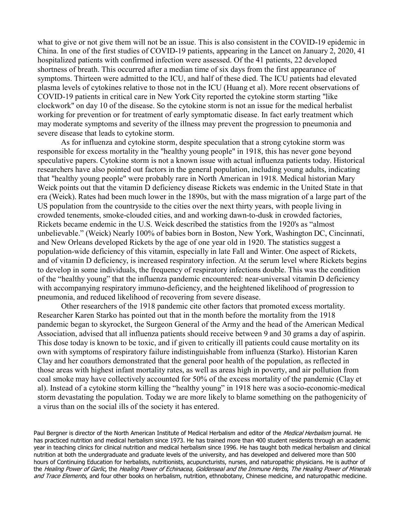what to give or not give them will not be an issue. This is also consistent in the COVID-19 epidemic in China. In one of the first studies of COVID-19 patients, appearing in the Lancet on January 2, 2020, 41 hospitalized patients with confirmed infection were assessed. Of the 41 patients, 22 developed shortness of breath. This occurred after a median time of six days from the first appearance of symptoms. Thirteen were admitted to the ICU, and half of these died. The ICU patients had elevated plasma levels of cytokines relative to those not in the ICU (Huang et al). More recent observations of COVID-19 patients in critical care in New York City reported the cytokine storm starting "like clockwork" on day 10 of the disease. So the cytokine storm is not an issue for the medical herbalist working for prevention or for treatment of early symptomatic disease. In fact early treatment which may moderate symptoms and severity of the illness may prevent the progression to pneumonia and severe disease that leads to cytokine storm.

As for influenza and cytokine storm, despite speculation that a strong cytokine storm was responsible for excess mortality in the "healthy young people" in 1918, this has never gone beyond speculative papers. Cytokine storm is not a known issue with actual influenza patients today. Historical researchers have also pointed out factors in the general population, including young adults, indicating that "healthy young people" were probably rare in North American in 1918. Medical historian Mary Weick points out that the vitamin D deficiency disease Rickets was endemic in the United State in that era (Weick). Rates had been much lower in the 1890s, but with the mass migration of a large part of the US population from the countryside to the cities over the next thirty years, with people living in crowded tenements, smoke-clouded cities, and and working dawn-to-dusk in crowded factories, Rickets became endemic in the U.S. Weick described the statistics from the 1920's as "almost unbelievable." (Weick) Nearly 100% of babies born in Boston, New York, Washington DC, Cincinnati, and New Orleans developed Rickets by the age of one year old in 1920. The statistics suggest a population-wide deficiency of this vitamin, especially in late Fall and Winter. One aspect of Rickets, and of vitamin D deficiency, is increased respiratory infection. At the serum level where Rickets begins to develop in some individuals, the frequency of respiratory infections double. This was the condition of the "healthy young" that the influenza pandemic encountered: near-universal vitamin D deficiency with accompanying respiratory immuno-deficiency, and the heightened likelihood of progression to pneumonia, and reduced likelihood of recovering from severe disease.

Other researchers of the 1918 pandemic cite other factors that promoted excess mortality. Researcher Karen Starko has pointed out that in the month before the mortality from the 1918 pandemic began to skyrocket, the Surgeon General of the Army and the head of the American Medical Association, advised that all influenza patients should receive between 9 and 30 grams a day of aspirin. This dose today is known to be toxic, and if given to critically ill patients could cause mortality on its own with symptoms of respiratory failure indistinguishable from influenza (Starko). Historian Karen Clay and her coauthors demonstrated that the general poor health of the population, as reflected in those areas with highest infant mortality rates, as well as areas high in poverty, and air pollution from coal smoke may have collectively accounted for 50% of the excess mortality of the pandemic (Clay et al). Instead of a cytokine storm killing the "healthy young" in 1918 here was a socio-economic-medical storm devastating the population. Today we are more likely to blame something on the pathogenicity of a virus than on the social ills of the society it has entered.

Paul Bergner is director of the North American Institute of Medical Herbalism and editor of the Medical Herbalism journal. He has practiced nutrition and medical herbalism since 1973. He has trained more than 400 student residents through an academic year in teaching clinics for clinical nutrition and medical herbalism since 1996. He has taught both medical herbalism and clinical nutrition at both the undergraduate and graduate levels of the university, and has developed and delivered more than 500 hours of Continuing Education for herbalists, nutritionists, acupuncturists, nurses, and naturopathic physicians. He is author of the Healing Power of Garlic, the Healing Power of Echinacea, Goldenseal and the Immune Herbs, The Healing Power of Minerals and Trace Elements, and four other books on herbalism, nutrition, ethnobotany, Chinese medicine, and naturopathic medicine.